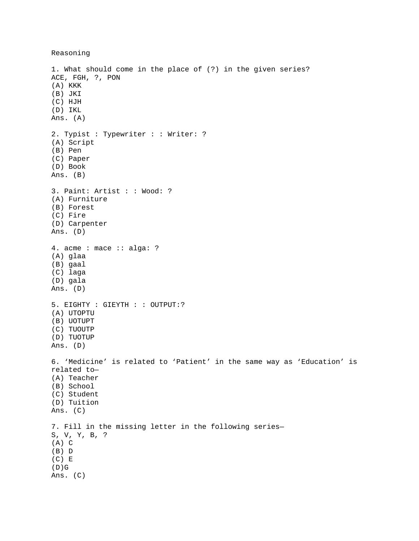Reasoning

1. What should come in the place of (?) in the given series? ACE, FGH, ?, PON (A) KKK (B) JKI (C) HJH (D) IKL Ans. (A) 2. Typist : Typewriter : : Writer: ? (A) Script (B) Pen (C) Paper (D) Book Ans. (B) 3. Paint: Artist : : Wood: ? (A) Furniture (B) Forest (C) Fire (D) Carpenter Ans. (D) 4. acme : mace :: alga: ? (A) glaa (B) gaal (C) laga (D) gala Ans. (D) 5. EIGHTY : GIEYTH : : OUTPUT:? (A) UTOPTU (B) UOTUPT (C) TUOUTP (D) TUOTUP Ans. (D) 6. 'Medicine' is related to 'Patient' in the same way as 'Education' is related to— (A) Teacher (B) School (C) Student (D) Tuition Ans. (C) 7. Fill in the missing letter in the following series— S, V, Y, B, ? (A) C (B) D (C) E  $(D)G$ Ans. (C)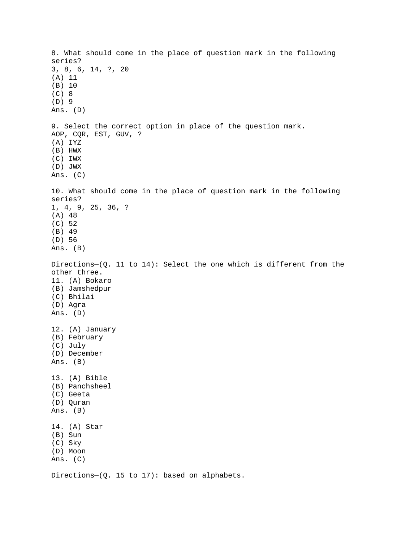8. What should come in the place of question mark in the following series? 3, 8, 6, 14, ?, 20 (A) 11 (B) 10 (C) 8 (D) 9 Ans. (D) 9. Select the correct option in place of the question mark. AOP, CQR, EST, GUV, ? (A) IYZ (B) HWX (C) IWX (D) JWX Ans. (C) 10. What should come in the place of question mark in the following series? 1, 4, 9, 25, 36, ? (A) 48 (C) 52 (B) 49 (D) 56 Ans. (B) Directions—(Q. 11 to 14): Select the one which is different from the other three. 11. (A) Bokaro (B) Jamshedpur (C) Bhilai (D) Agra Ans. (D) 12. (A) January (B) February (C) July (D) December Ans. (B) 13. (A) Bible (B) Panchsheel (C) Geeta (D) Quran Ans. (B) 14. (A) Star (B) Sun (C) Sky (D) Moon Ans. (C)

Directions—(Q. 15 to 17): based on alphabets.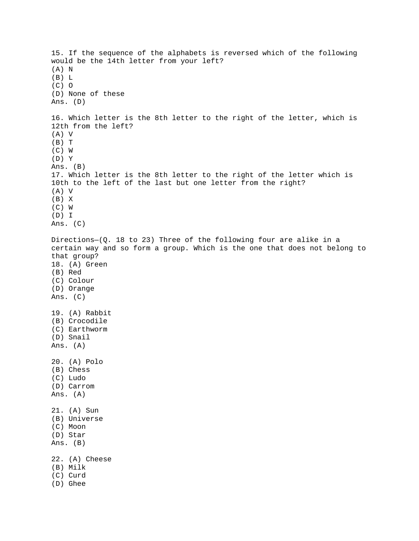15. If the sequence of the alphabets is reversed which of the following would be the 14th letter from your left? (A) N (B) L (C) O (D) None of these Ans. (D) 16. Which letter is the 8th letter to the right of the letter, which is 12th from the left? (A) V (B) T (C) W (D) Y Ans. (B) 17. Which letter is the 8th letter to the right of the letter which is 10th to the left of the last but one letter from the right? (A) V (B) X (C) W (D) I Ans. (C) Directions—(Q. 18 to 23) Three of the following four are alike in a certain way and so form a group. Which is the one that does not belong to that group? 18. (A) Green (B) Red (C) Colour (D) Orange Ans. (C) 19. (A) Rabbit (B) Crocodile (C) Earthworm (D) Snail Ans. (A) 20. (A) Polo (B) Chess (C) Ludo (D) Carrom Ans. (A) 21. (A) Sun (B) Universe (C) Moon (D) Star Ans. (B) 22. (A) Cheese (B) Milk (C) Curd (D) Ghee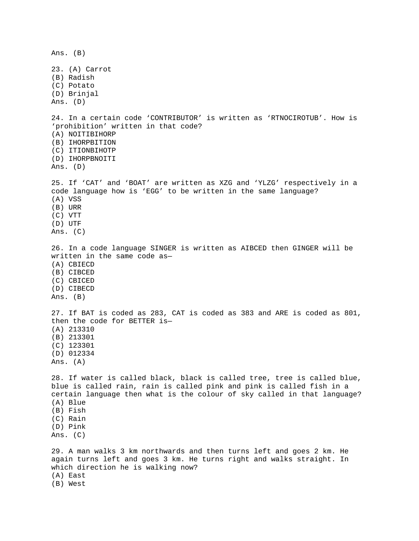Ans. (B) 23. (A) Carrot (B) Radish (C) Potato (D) Brinjal Ans. (D) 24. In a certain code 'CONTRIBUTOR' is written as 'RTNOCIROTUB'. How is 'prohibition' written in that code? (A) NOITIBIHORP (B) IHORPBITION (C) ITIONBIHOTP (D) IHORPBNOITI Ans. (D) 25. If 'CAT' and 'BOAT' are written as XZG and 'YLZG' respectively in a code language how is 'EGG' to be written in the same language? (A) VSS (B) URR (C) VTT (D) UTF Ans. (C) 26. In a code language SINGER is written as AIBCED then GINGER will be written in the same code as— (A) CBIECD (B) CIBCED (C) CBICED (D) CIBECD Ans. (B) 27. If BAT is coded as 283, CAT is coded as 383 and ARE is coded as 801, then the code for BETTER is— (A) 213310 (B) 213301 (C) 123301 (D) 012334 Ans. (A) 28. If water is called black, black is called tree, tree is called blue, blue is called rain, rain is called pink and pink is called fish in a certain language then what is the colour of sky called in that language? (A) Blue (B) Fish (C) Rain (D) Pink Ans. (C) 29. A man walks 3 km northwards and then turns left and goes 2 km. He again turns left and goes 3 km. He turns right and walks straight. In which direction he is walking now? (A) East (B) West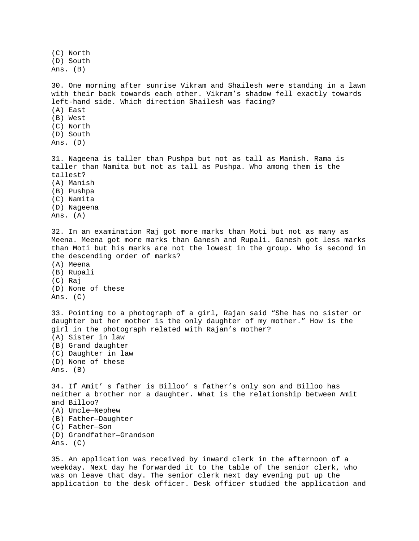(C) North (D) South Ans. (B) 30. One morning after sunrise Vikram and Shailesh were standing in a lawn with their back towards each other. Vikram's shadow fell exactly towards left-hand side. Which direction Shailesh was facing? (A) East (B) West (C) North (D) South Ans. (D) 31. Nageena is taller than Pushpa but not as tall as Manish. Rama is taller than Namita but not as tall as Pushpa. Who among them is the tallest? (A) Manish (B) Pushpa (C) Namita (D) Nageena Ans. (A) 32. In an examination Raj got more marks than Moti but not as many as Meena. Meena got more marks than Ganesh and Rupali. Ganesh got less marks than Moti but his marks are not the lowest in the group. Who is second in the descending order of marks? (A) Meena (B) Rupali (C) Raj (D) None of these Ans. (C) 33. Pointing to a photograph of a girl, Rajan said "She has no sister or daughter but her mother is the only daughter of my mother." How is the girl in the photograph related with Rajan's mother? (A) Sister in law (B) Grand daughter (C) Daughter in law (D) None of these Ans. (B) 34. If Amit' s father is Billoo' s father's only son and Billoo has neither a brother nor a daughter. What is the relationship between Amit and Billoo? (A) Uncle—Nephew (B) Father—Daughter (C) Father—Son (D) Grandfather—Grandson Ans. (C)

35. An application was received by inward clerk in the afternoon of a weekday. Next day he forwarded it to the table of the senior clerk, who was on leave that day. The senior clerk next day evening put up the application to the desk officer. Desk officer studied the application and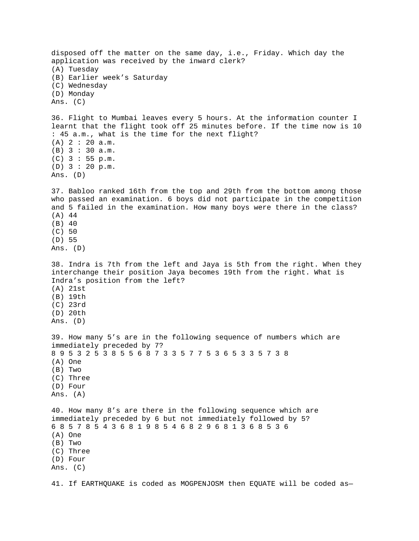disposed off the matter on the same day, i.e., Friday. Which day the application was received by the inward clerk? (A) Tuesday (B) Earlier week's Saturday (C) Wednesday (D) Monday Ans. (C) 36. Flight to Mumbai leaves every 5 hours. At the information counter I learnt that the flight took off 25 minutes before. If the time now is 10 : 45 a.m., what is the time for the next flight? (A) 2 : 20 a.m. (B) 3 : 30 a.m. (C) 3 : 55 p.m. (D) 3 : 20 p.m. Ans. (D) 37. Babloo ranked 16th from the top and 29th from the bottom among those who passed an examination. 6 boys did not participate in the competition and 5 failed in the examination. How many boys were there in the class? (A) 44 (B) 40 (C) 50 (D) 55 Ans. (D) 38. Indra is 7th from the left and Jaya is 5th from the right. When they interchange their position Jaya becomes 19th from the right. What is Indra's position from the left? (A) 21st (B) 19th (C) 23rd (D) 20th Ans. (D) 39. How many 5's are in the following sequence of numbers which are immediately preceded by 7? 8 9 5 3 2 5 3 8 5 5 6 8 7 3 3 5 7 7 5 3 6 5 3 3 5 7 3 8 (A) One (B) Two (C) Three (D) Four Ans. (A) 40. How many 8's are there in the following sequence which are immediately preceded by 6 but not immediately followed by 5? 6 8 5 7 8 5 4 3 6 8 1 9 8 5 4 6 8 2 9 6 8 1 3 6 8 5 3 6 (A) One (B) Two (C) Three (D) Four Ans. (C) 41. If EARTHQUAKE is coded as MOGPENJOSM then EQUATE will be coded as—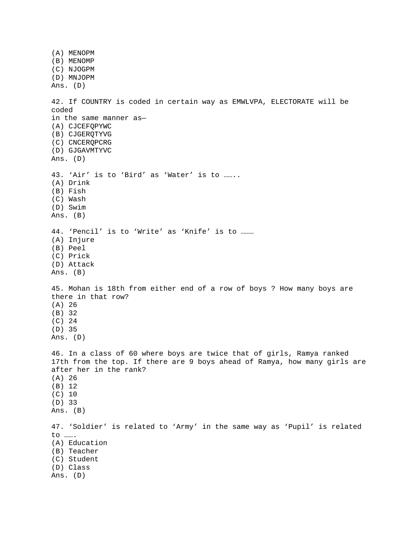(A) MENOPM (B) MENOMP (C) NJOGPM (D) MNJOPM Ans. (D) 42. If COUNTRY is coded in certain way as EMWLVPA, ELECTORATE will be coded in the same manner as— (A) CJCEFQPYWC (B) CJGERQTYVG (C) CNCERQPCRG (D) GJGAVMTYVC Ans. (D) 43. 'Air' is to 'Bird' as 'Water' is to …….. (A) Drink (B) Fish (C) Wash (D) Swim Ans. (B) 44. 'Pencil' is to 'Write' as 'Knife' is to ……… (A) Injure (B) Peel (C) Prick (D) Attack Ans. (B) 45. Mohan is 18th from either end of a row of boys ? How many boys are there in that row? (A) 26 (B) 32 (C) 24 (D) 35 Ans. (D) 46. In a class of 60 where boys are twice that of girls, Ramya ranked 17th from the top. If there are 9 boys ahead of Ramya, how many girls are after her in the rank? (A) 26 (B) 12 (C) 10 (D) 33 Ans. (B) 47. 'Soldier' is related to 'Army' in the same way as 'Pupil' is related to ……. (A) Education (B) Teacher (C) Student (D) Class Ans. (D)